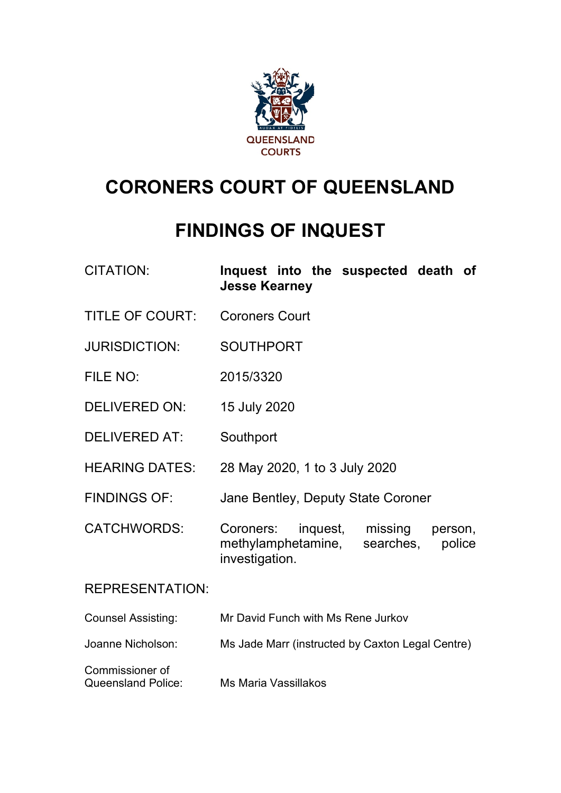

# **CORONERS COURT OF QUEENSLAND**

# **FINDINGS OF INQUEST**

| <b>CITATION:</b> |                      |  | Inquest into the suspected death of |  |
|------------------|----------------------|--|-------------------------------------|--|
|                  | <b>Jesse Kearney</b> |  |                                     |  |

- TITLE OF COURT: Coroners Court
- JURISDICTION: SOUTHPORT
- FILE NO: 2015/3320
- DELIVERED ON: 15 July 2020
- DELIVERED AT: Southport
- HEARING DATES: 28 May 2020, 1 to 3 July 2020
- FINDINGS OF: Jane Bentley, Deputy State Coroner

CATCHWORDS: Coroners: inquest, missing person, methylamphetamine, searches, police investigation.

## REPRESENTATION:

| <b>Counsel Assisting:</b><br>Mr David Funch with Ms Rene Jurkov |
|-----------------------------------------------------------------|
|-----------------------------------------------------------------|

Joanne Nicholson: Ms Jade Marr (instructed by Caxton Legal Centre)

| Commissioner of           |                      |
|---------------------------|----------------------|
| <b>Queensland Police:</b> | Ms Maria Vassillakos |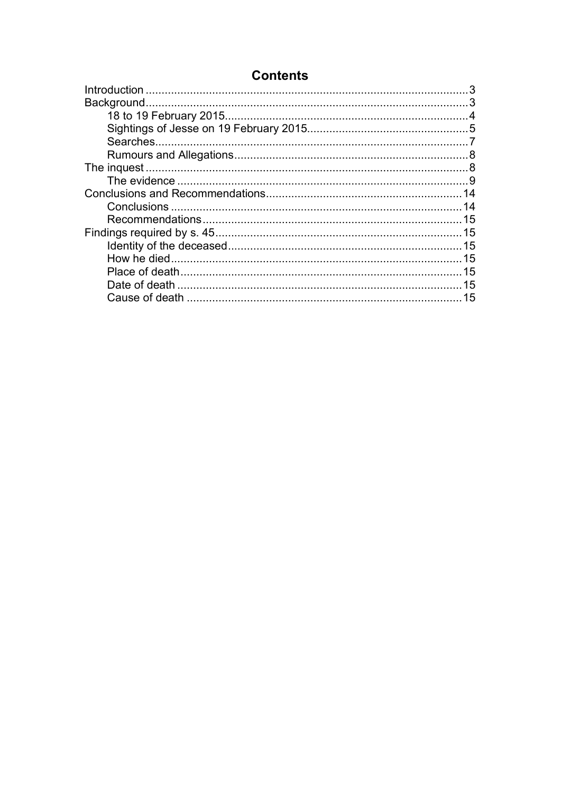# **Contents**

| 15 |
|----|
|    |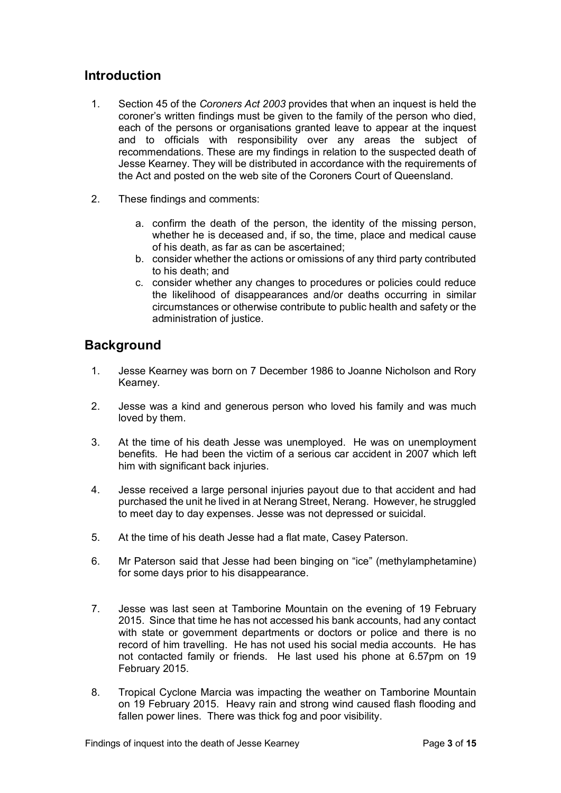# <span id="page-2-0"></span>**Introduction**

- 1. Section 45 of the *Coroners Act 2003* provides that when an inquest is held the coroner's written findings must be given to the family of the person who died, each of the persons or organisations granted leave to appear at the inquest and to officials with responsibility over any areas the subject of recommendations. These are my findings in relation to the suspected death of Jesse Kearney. They will be distributed in accordance with the requirements of the Act and posted on the web site of the Coroners Court of Queensland.
- 2. These findings and comments:
	- a. confirm the death of the person, the identity of the missing person, whether he is deceased and, if so, the time, place and medical cause of his death, as far as can be ascertained;
	- b. consider whether the actions or omissions of any third party contributed to his death; and
	- c. consider whether any changes to procedures or policies could reduce the likelihood of disappearances and/or deaths occurring in similar circumstances or otherwise contribute to public health and safety or the administration of justice.

# <span id="page-2-1"></span>**Background**

- 1. Jesse Kearney was born on 7 December 1986 to Joanne Nicholson and Rory Kearney.
- 2. Jesse was a kind and generous person who loved his family and was much loved by them.
- 3. At the time of his death Jesse was unemployed. He was on unemployment benefits. He had been the victim of a serious car accident in 2007 which left him with significant back injuries.
- 4. Jesse received a large personal injuries payout due to that accident and had purchased the unit he lived in at Nerang Street, Nerang. However, he struggled to meet day to day expenses. Jesse was not depressed or suicidal.
- 5. At the time of his death Jesse had a flat mate, Casey Paterson.
- 6. Mr Paterson said that Jesse had been binging on "ice" (methylamphetamine) for some days prior to his disappearance.
- 7. Jesse was last seen at Tamborine Mountain on the evening of 19 February 2015. Since that time he has not accessed his bank accounts, had any contact with state or government departments or doctors or police and there is no record of him travelling. He has not used his social media accounts. He has not contacted family or friends. He last used his phone at 6.57pm on 19 February 2015.
- 8. Tropical Cyclone Marcia was impacting the weather on Tamborine Mountain on 19 February 2015. Heavy rain and strong wind caused flash flooding and fallen power lines. There was thick fog and poor visibility.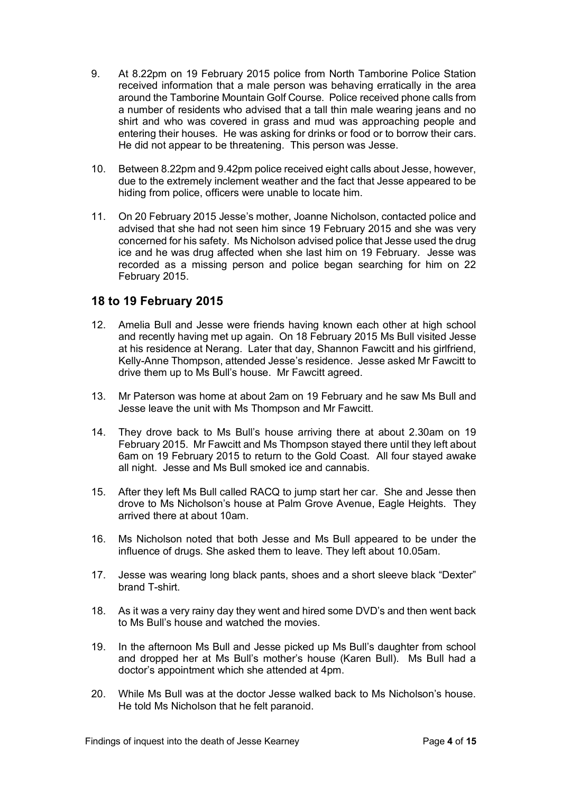- 9. At 8.22pm on 19 February 2015 police from North Tamborine Police Station received information that a male person was behaving erratically in the area around the Tamborine Mountain Golf Course. Police received phone calls from a number of residents who advised that a tall thin male wearing jeans and no shirt and who was covered in grass and mud was approaching people and entering their houses. He was asking for drinks or food or to borrow their cars. He did not appear to be threatening. This person was Jesse.
- 10. Between 8.22pm and 9.42pm police received eight calls about Jesse, however, due to the extremely inclement weather and the fact that Jesse appeared to be hiding from police, officers were unable to locate him.
- 11. On 20 February 2015 Jesse's mother, Joanne Nicholson, contacted police and advised that she had not seen him since 19 February 2015 and she was very concerned for his safety. Ms Nicholson advised police that Jesse used the drug ice and he was drug affected when she last him on 19 February. Jesse was recorded as a missing person and police began searching for him on 22 February 2015.

## <span id="page-3-0"></span>**18 to 19 February 2015**

- 12. Amelia Bull and Jesse were friends having known each other at high school and recently having met up again. On 18 February 2015 Ms Bull visited Jesse at his residence at Nerang. Later that day, Shannon Fawcitt and his girlfriend, Kelly-Anne Thompson, attended Jesse's residence. Jesse asked Mr Fawcitt to drive them up to Ms Bull's house. Mr Fawcitt agreed.
- 13. Mr Paterson was home at about 2am on 19 February and he saw Ms Bull and Jesse leave the unit with Ms Thompson and Mr Fawcitt.
- 14. They drove back to Ms Bull's house arriving there at about 2.30am on 19 February 2015. Mr Fawcitt and Ms Thompson stayed there until they left about 6am on 19 February 2015 to return to the Gold Coast. All four stayed awake all night. Jesse and Ms Bull smoked ice and cannabis.
- 15. After they left Ms Bull called RACQ to jump start her car. She and Jesse then drove to Ms Nicholson's house at Palm Grove Avenue, Eagle Heights. They arrived there at about 10am.
- 16. Ms Nicholson noted that both Jesse and Ms Bull appeared to be under the influence of drugs. She asked them to leave. They left about 10.05am.
- 17. Jesse was wearing long black pants, shoes and a short sleeve black "Dexter" brand T-shirt.
- 18. As it was a very rainy day they went and hired some DVD's and then went back to Ms Bull's house and watched the movies.
- 19. In the afternoon Ms Bull and Jesse picked up Ms Bull's daughter from school and dropped her at Ms Bull's mother's house (Karen Bull). Ms Bull had a doctor's appointment which she attended at 4pm.
- 20. While Ms Bull was at the doctor Jesse walked back to Ms Nicholson's house. He told Ms Nicholson that he felt paranoid.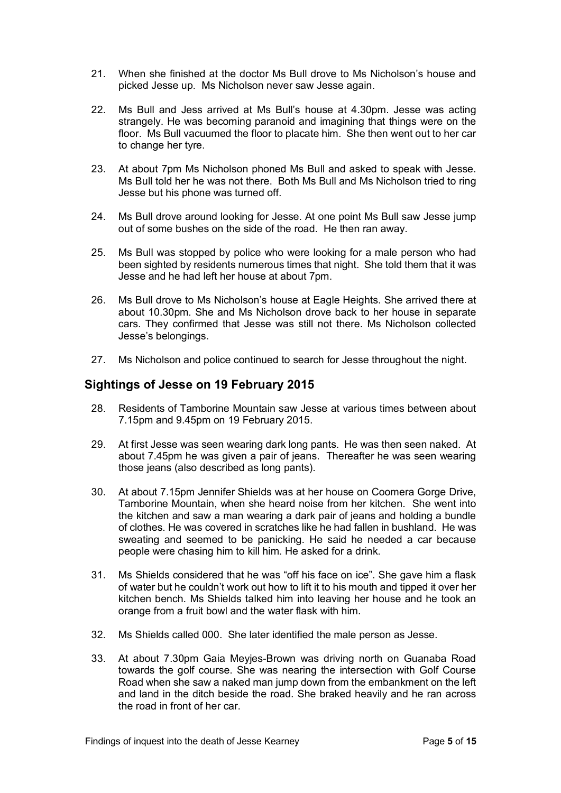- 21. When she finished at the doctor Ms Bull drove to Ms Nicholson's house and picked Jesse up. Ms Nicholson never saw Jesse again.
- 22. Ms Bull and Jess arrived at Ms Bull's house at 4.30pm. Jesse was acting strangely. He was becoming paranoid and imagining that things were on the floor. Ms Bull vacuumed the floor to placate him. She then went out to her car to change her tyre.
- 23. At about 7pm Ms Nicholson phoned Ms Bull and asked to speak with Jesse. Ms Bull told her he was not there. Both Ms Bull and Ms Nicholson tried to ring Jesse but his phone was turned off.
- 24. Ms Bull drove around looking for Jesse. At one point Ms Bull saw Jesse jump out of some bushes on the side of the road. He then ran away.
- 25. Ms Bull was stopped by police who were looking for a male person who had been sighted by residents numerous times that night. She told them that it was Jesse and he had left her house at about 7pm.
- 26. Ms Bull drove to Ms Nicholson's house at Eagle Heights. She arrived there at about 10.30pm. She and Ms Nicholson drove back to her house in separate cars. They confirmed that Jesse was still not there. Ms Nicholson collected Jesse's belongings.
- 27. Ms Nicholson and police continued to search for Jesse throughout the night.

## <span id="page-4-0"></span>**Sightings of Jesse on 19 February 2015**

- 28. Residents of Tamborine Mountain saw Jesse at various times between about 7.15pm and 9.45pm on 19 February 2015.
- 29. At first Jesse was seen wearing dark long pants. He was then seen naked. At about 7.45pm he was given a pair of jeans. Thereafter he was seen wearing those jeans (also described as long pants).
- 30. At about 7.15pm Jennifer Shields was at her house on Coomera Gorge Drive, Tamborine Mountain, when she heard noise from her kitchen. She went into the kitchen and saw a man wearing a dark pair of jeans and holding a bundle of clothes. He was covered in scratches like he had fallen in bushland. He was sweating and seemed to be panicking. He said he needed a car because people were chasing him to kill him. He asked for a drink.
- 31. Ms Shields considered that he was "off his face on ice". She gave him a flask of water but he couldn't work out how to lift it to his mouth and tipped it over her kitchen bench. Ms Shields talked him into leaving her house and he took an orange from a fruit bowl and the water flask with him.
- 32. Ms Shields called 000. She later identified the male person as Jesse.
- 33. At about 7.30pm Gaia Meyjes-Brown was driving north on Guanaba Road towards the golf course. She was nearing the intersection with Golf Course Road when she saw a naked man jump down from the embankment on the left and land in the ditch beside the road. She braked heavily and he ran across the road in front of her car.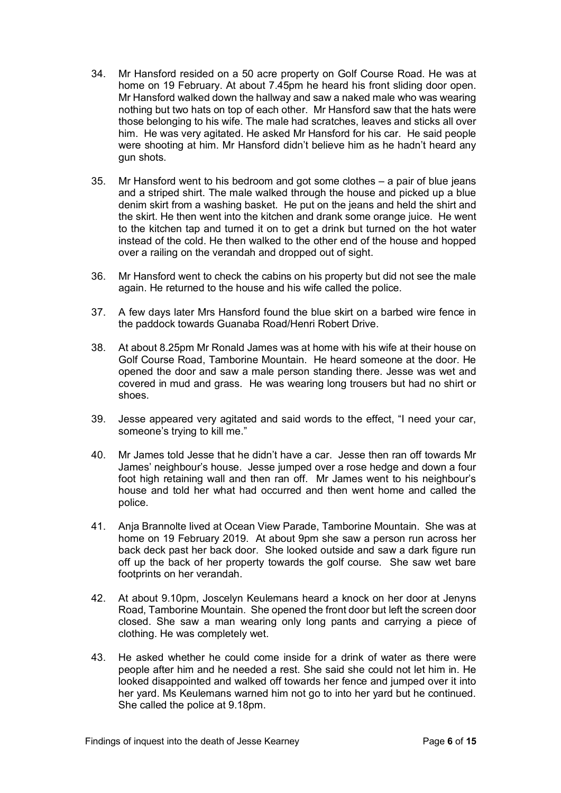- 34. Mr Hansford resided on a 50 acre property on Golf Course Road. He was at home on 19 February. At about 7.45pm he heard his front sliding door open. Mr Hansford walked down the hallway and saw a naked male who was wearing nothing but two hats on top of each other. Mr Hansford saw that the hats were those belonging to his wife. The male had scratches, leaves and sticks all over him. He was very agitated. He asked Mr Hansford for his car. He said people were shooting at him. Mr Hansford didn't believe him as he hadn't heard any gun shots.
- 35. Mr Hansford went to his bedroom and got some clothes a pair of blue jeans and a striped shirt. The male walked through the house and picked up a blue denim skirt from a washing basket. He put on the jeans and held the shirt and the skirt. He then went into the kitchen and drank some orange juice. He went to the kitchen tap and turned it on to get a drink but turned on the hot water instead of the cold. He then walked to the other end of the house and hopped over a railing on the verandah and dropped out of sight.
- 36. Mr Hansford went to check the cabins on his property but did not see the male again. He returned to the house and his wife called the police.
- 37. A few days later Mrs Hansford found the blue skirt on a barbed wire fence in the paddock towards Guanaba Road/Henri Robert Drive.
- 38. At about 8.25pm Mr Ronald James was at home with his wife at their house on Golf Course Road, Tamborine Mountain. He heard someone at the door. He opened the door and saw a male person standing there. Jesse was wet and covered in mud and grass. He was wearing long trousers but had no shirt or shoes.
- 39. Jesse appeared very agitated and said words to the effect, "I need your car, someone's trying to kill me."
- 40. Mr James told Jesse that he didn't have a car. Jesse then ran off towards Mr James' neighbour's house. Jesse jumped over a rose hedge and down a four foot high retaining wall and then ran off. Mr James went to his neighbour's house and told her what had occurred and then went home and called the police.
- 41. Anja Brannolte lived at Ocean View Parade, Tamborine Mountain. She was at home on 19 February 2019. At about 9pm she saw a person run across her back deck past her back door. She looked outside and saw a dark figure run off up the back of her property towards the golf course. She saw wet bare footprints on her verandah.
- 42. At about 9.10pm, Joscelyn Keulemans heard a knock on her door at Jenyns Road, Tamborine Mountain. She opened the front door but left the screen door closed. She saw a man wearing only long pants and carrying a piece of clothing. He was completely wet.
- 43. He asked whether he could come inside for a drink of water as there were people after him and he needed a rest. She said she could not let him in. He looked disappointed and walked off towards her fence and jumped over it into her yard. Ms Keulemans warned him not go to into her yard but he continued. She called the police at 9.18pm.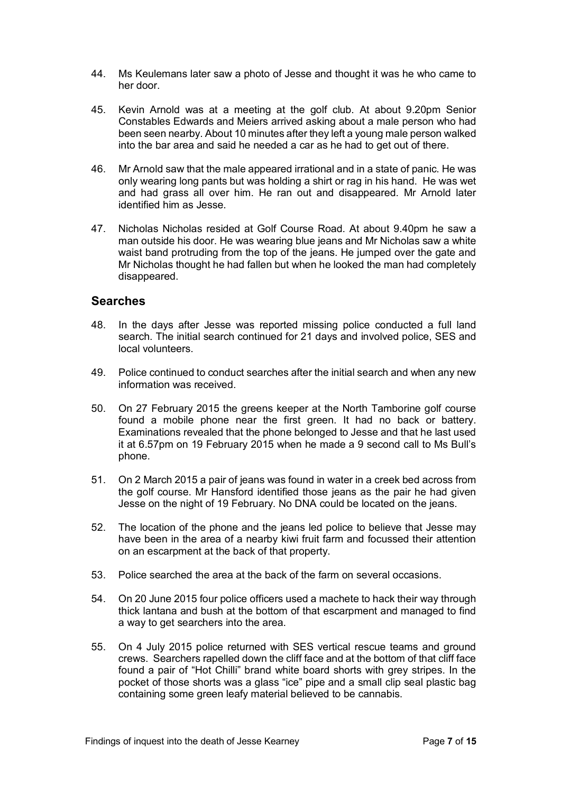- 44. Ms Keulemans later saw a photo of Jesse and thought it was he who came to her door.
- 45. Kevin Arnold was at a meeting at the golf club. At about 9.20pm Senior Constables Edwards and Meiers arrived asking about a male person who had been seen nearby. About 10 minutes after they left a young male person walked into the bar area and said he needed a car as he had to get out of there.
- 46. Mr Arnold saw that the male appeared irrational and in a state of panic. He was only wearing long pants but was holding a shirt or rag in his hand. He was wet and had grass all over him. He ran out and disappeared. Mr Arnold later identified him as Jesse.
- 47. Nicholas Nicholas resided at Golf Course Road. At about 9.40pm he saw a man outside his door. He was wearing blue jeans and Mr Nicholas saw a white waist band protruding from the top of the jeans. He jumped over the gate and Mr Nicholas thought he had fallen but when he looked the man had completely disappeared.

#### <span id="page-6-0"></span>**Searches**

- 48. In the days after Jesse was reported missing police conducted a full land search. The initial search continued for 21 days and involved police, SES and local volunteers.
- 49. Police continued to conduct searches after the initial search and when any new information was received.
- 50. On 27 February 2015 the greens keeper at the North Tamborine golf course found a mobile phone near the first green. It had no back or battery. Examinations revealed that the phone belonged to Jesse and that he last used it at 6.57pm on 19 February 2015 when he made a 9 second call to Ms Bull's phone.
- 51. On 2 March 2015 a pair of jeans was found in water in a creek bed across from the golf course. Mr Hansford identified those jeans as the pair he had given Jesse on the night of 19 February. No DNA could be located on the jeans.
- 52. The location of the phone and the jeans led police to believe that Jesse may have been in the area of a nearby kiwi fruit farm and focussed their attention on an escarpment at the back of that property.
- 53. Police searched the area at the back of the farm on several occasions.
- 54. On 20 June 2015 four police officers used a machete to hack their way through thick lantana and bush at the bottom of that escarpment and managed to find a way to get searchers into the area.
- 55. On 4 July 2015 police returned with SES vertical rescue teams and ground crews. Searchers rapelled down the cliff face and at the bottom of that cliff face found a pair of "Hot Chilli" brand white board shorts with grey stripes. In the pocket of those shorts was a glass "ice" pipe and a small clip seal plastic bag containing some green leafy material believed to be cannabis.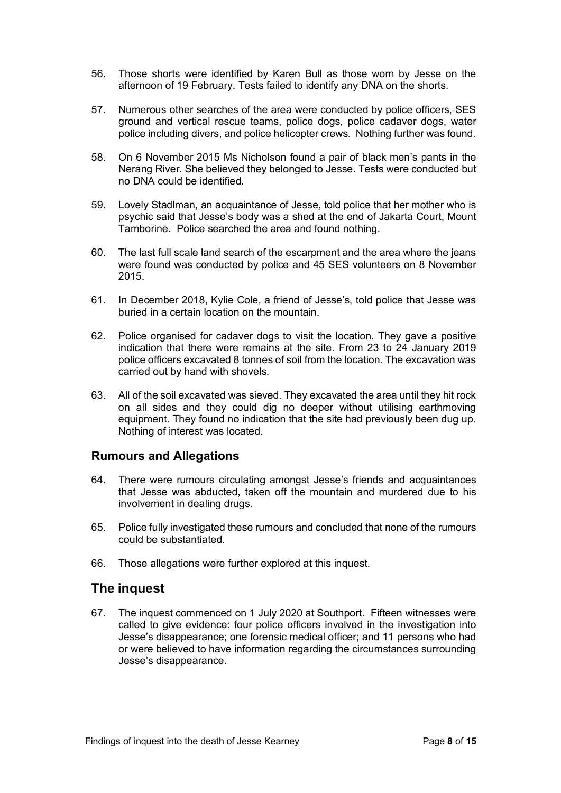- 56. Those shorts were identified by Karen Bull as those worn by Jesse on the afternoon of 19 February. Tests failed to identify any DNA on the shorts.
- 57. Numerous other searches of the area were conducted by police officers, SES ground and vertical rescue teams, police dogs, police cadaver dogs, water police including divers, and police helicopter crews. Nothing further was found.
- 58. On 6 November 2015 Ms Nicholson found a pair of black men's pants in the Nerang River. She believed they belonged to Jesse. Tests were conducted but no DNA could be identified.
- 59. Lovely Stadlman, an acquaintance of Jesse, told police that her mother who is psychic said that Jesse's body was a shed at the end of Jakarta Court, Mount Tamborine. Police searched the area and found nothing.
- 60. The last full scale land search of the escarpment and the area where the jeans were found was conducted by police and 45 SES volunteers on 8 November 2015.
- 61. In December 2018, Kylie Cole, a friend of Jesse's, told police that Jesse was buried in a certain location on the mountain.
- 62. Police organised for cadaver dogs to visit the location. They gave a positive indication that there were remains at the site. From 23 to 24 January 2019 police officers excavated 8 tonnes of soil from the location. The excavation was carried out by hand with shovels.
- 63. All of the soil excavated was sieved. They excavated the area until they hit rock on all sides and they could dig no deeper without utilising earthmoving equipment. They found no indication that the site had previously been dug up. Nothing of interest was located.

#### <span id="page-7-0"></span>**Rumours and Allegations**

- 64. There were rumours circulating amongst Jesse's friends and acquaintances that Jesse was abducted, taken off the mountain and murdered due to his involvement in dealing drugs.
- 65. Police fully investigated these rumours and concluded that none of the rumours could be substantiated.
- 66. Those allegations were further explored at this inquest.

## <span id="page-7-1"></span>**The inquest**

67. The inquest commenced on 1 July 2020 at Southport. Fifteen witnesses were called to give evidence: four police officers involved in the investigation into Jesse's disappearance; one forensic medical officer; and 11 persons who had or were believed to have information regarding the circumstances surrounding Jesse's disappearance.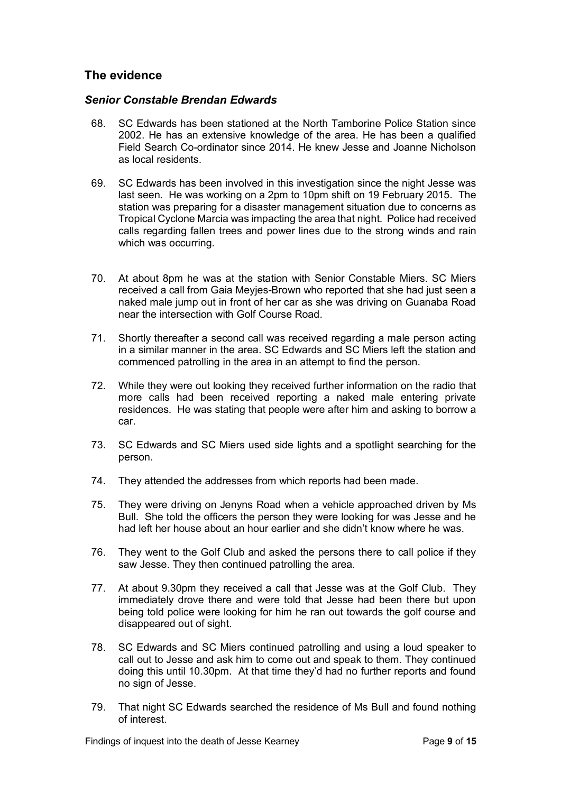## <span id="page-8-0"></span>**The evidence**

#### *Senior Constable Brendan Edwards*

- 68. SC Edwards has been stationed at the North Tamborine Police Station since 2002. He has an extensive knowledge of the area. He has been a qualified Field Search Co-ordinator since 2014. He knew Jesse and Joanne Nicholson as local residents.
- 69. SC Edwards has been involved in this investigation since the night Jesse was last seen. He was working on a 2pm to 10pm shift on 19 February 2015. The station was preparing for a disaster management situation due to concerns as Tropical Cyclone Marcia was impacting the area that night. Police had received calls regarding fallen trees and power lines due to the strong winds and rain which was occurring.
- 70. At about 8pm he was at the station with Senior Constable Miers. SC Miers received a call from Gaia Meyjes-Brown who reported that she had just seen a naked male jump out in front of her car as she was driving on Guanaba Road near the intersection with Golf Course Road.
- 71. Shortly thereafter a second call was received regarding a male person acting in a similar manner in the area. SC Edwards and SC Miers left the station and commenced patrolling in the area in an attempt to find the person.
- 72. While they were out looking they received further information on the radio that more calls had been received reporting a naked male entering private residences. He was stating that people were after him and asking to borrow a car.
- 73. SC Edwards and SC Miers used side lights and a spotlight searching for the person.
- 74. They attended the addresses from which reports had been made.
- 75. They were driving on Jenyns Road when a vehicle approached driven by Ms Bull. She told the officers the person they were looking for was Jesse and he had left her house about an hour earlier and she didn't know where he was.
- 76. They went to the Golf Club and asked the persons there to call police if they saw Jesse. They then continued patrolling the area.
- 77. At about 9.30pm they received a call that Jesse was at the Golf Club. They immediately drove there and were told that Jesse had been there but upon being told police were looking for him he ran out towards the golf course and disappeared out of sight.
- 78. SC Edwards and SC Miers continued patrolling and using a loud speaker to call out to Jesse and ask him to come out and speak to them. They continued doing this until 10.30pm. At that time they'd had no further reports and found no sign of Jesse.
- 79. That night SC Edwards searched the residence of Ms Bull and found nothing of interest.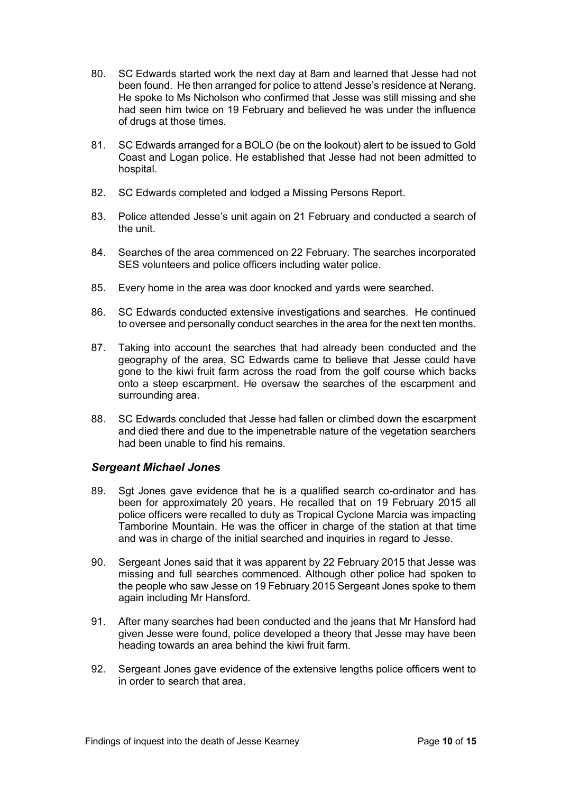- 80. SC Edwards started work the next day at 8am and learned that Jesse had not been found. He then arranged for police to attend Jesse's residence at Nerang. He spoke to Ms Nicholson who confirmed that Jesse was still missing and she had seen him twice on 19 February and believed he was under the influence of drugs at those times.
- 81. SC Edwards arranged for a BOLO (be on the lookout) alert to be issued to Gold Coast and Logan police. He established that Jesse had not been admitted to hospital.
- 82. SC Edwards completed and lodged a Missing Persons Report.
- 83. Police attended Jesse's unit again on 21 February and conducted a search of the unit.
- 84. Searches of the area commenced on 22 February. The searches incorporated SES volunteers and police officers including water police.
- 85. Every home in the area was door knocked and yards were searched.
- 86. SC Edwards conducted extensive investigations and searches. He continued to oversee and personally conduct searches in the area for the next ten months.
- 87. Taking into account the searches that had already been conducted and the geography of the area, SC Edwards came to believe that Jesse could have gone to the kiwi fruit farm across the road from the golf course which backs onto a steep escarpment. He oversaw the searches of the escarpment and surrounding area.
- 88. SC Edwards concluded that Jesse had fallen or climbed down the escarpment and died there and due to the impenetrable nature of the vegetation searchers had been unable to find his remains.

#### *Sergeant Michael Jones*

- 89. Sgt Jones gave evidence that he is a qualified search co-ordinator and has been for approximately 20 years. He recalled that on 19 February 2015 all police officers were recalled to duty as Tropical Cyclone Marcia was impacting Tamborine Mountain. He was the officer in charge of the station at that time and was in charge of the initial searched and inquiries in regard to Jesse.
- 90. Sergeant Jones said that it was apparent by 22 February 2015 that Jesse was missing and full searches commenced. Although other police had spoken to the people who saw Jesse on 19 February 2015 Sergeant Jones spoke to them again including Mr Hansford.
- 91. After many searches had been conducted and the jeans that Mr Hansford had given Jesse were found, police developed a theory that Jesse may have been heading towards an area behind the kiwi fruit farm.
- 92. Sergeant Jones gave evidence of the extensive lengths police officers went to in order to search that area.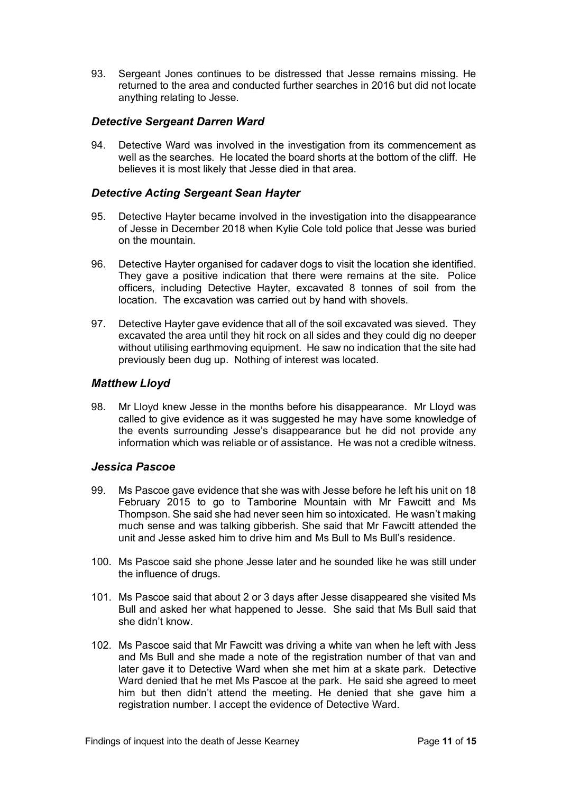93. Sergeant Jones continues to be distressed that Jesse remains missing. He returned to the area and conducted further searches in 2016 but did not locate anything relating to Jesse.

#### *Detective Sergeant Darren Ward*

94. Detective Ward was involved in the investigation from its commencement as well as the searches. He located the board shorts at the bottom of the cliff. He believes it is most likely that Jesse died in that area.

#### *Detective Acting Sergeant Sean Hayter*

- 95. Detective Hayter became involved in the investigation into the disappearance of Jesse in December 2018 when Kylie Cole told police that Jesse was buried on the mountain.
- 96. Detective Hayter organised for cadaver dogs to visit the location she identified. They gave a positive indication that there were remains at the site. Police officers, including Detective Hayter, excavated 8 tonnes of soil from the location. The excavation was carried out by hand with shovels.
- 97. Detective Hayter gave evidence that all of the soil excavated was sieved. They excavated the area until they hit rock on all sides and they could dig no deeper without utilising earthmoving equipment. He saw no indication that the site had previously been dug up. Nothing of interest was located.

#### *Matthew Lloyd*

98. Mr Lloyd knew Jesse in the months before his disappearance. Mr Lloyd was called to give evidence as it was suggested he may have some knowledge of the events surrounding Jesse's disappearance but he did not provide any information which was reliable or of assistance. He was not a credible witness.

#### *Jessica Pascoe*

- 99. Ms Pascoe gave evidence that she was with Jesse before he left his unit on 18 February 2015 to go to Tamborine Mountain with Mr Fawcitt and Ms Thompson. She said she had never seen him so intoxicated. He wasn't making much sense and was talking gibberish. She said that Mr Fawcitt attended the unit and Jesse asked him to drive him and Ms Bull to Ms Bull's residence.
- 100. Ms Pascoe said she phone Jesse later and he sounded like he was still under the influence of drugs.
- 101. Ms Pascoe said that about 2 or 3 days after Jesse disappeared she visited Ms Bull and asked her what happened to Jesse. She said that Ms Bull said that she didn't know.
- 102. Ms Pascoe said that Mr Fawcitt was driving a white van when he left with Jess and Ms Bull and she made a note of the registration number of that van and later gave it to Detective Ward when she met him at a skate park. Detective Ward denied that he met Ms Pascoe at the park. He said she agreed to meet him but then didn't attend the meeting. He denied that she gave him a registration number. I accept the evidence of Detective Ward.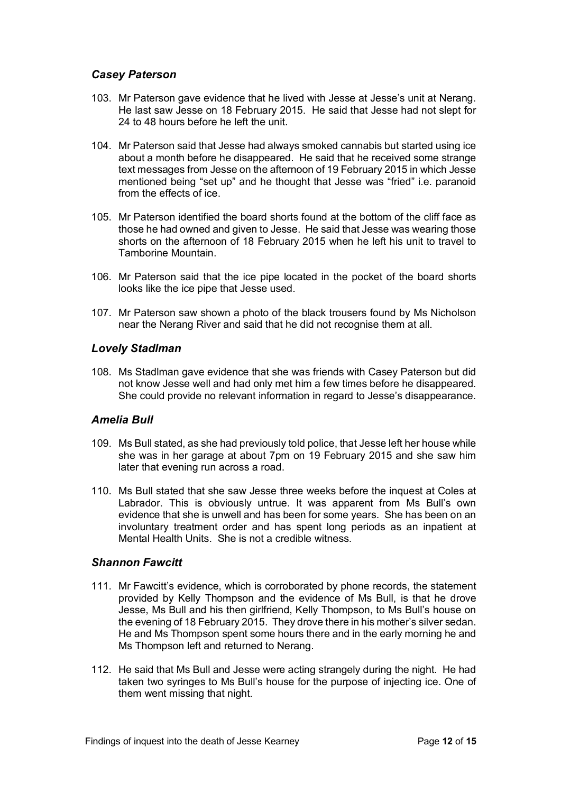#### *Casey Paterson*

- 103. Mr Paterson gave evidence that he lived with Jesse at Jesse's unit at Nerang. He last saw Jesse on 18 February 2015. He said that Jesse had not slept for 24 to 48 hours before he left the unit.
- 104. Mr Paterson said that Jesse had always smoked cannabis but started using ice about a month before he disappeared. He said that he received some strange text messages from Jesse on the afternoon of 19 February 2015 in which Jesse mentioned being "set up" and he thought that Jesse was "fried" i.e. paranoid from the effects of ice.
- 105. Mr Paterson identified the board shorts found at the bottom of the cliff face as those he had owned and given to Jesse. He said that Jesse was wearing those shorts on the afternoon of 18 February 2015 when he left his unit to travel to Tamborine Mountain.
- 106. Mr Paterson said that the ice pipe located in the pocket of the board shorts looks like the ice pipe that Jesse used.
- 107. Mr Paterson saw shown a photo of the black trousers found by Ms Nicholson near the Nerang River and said that he did not recognise them at all.

#### *Lovely Stadlman*

108. Ms Stadlman gave evidence that she was friends with Casey Paterson but did not know Jesse well and had only met him a few times before he disappeared. She could provide no relevant information in regard to Jesse's disappearance.

#### *Amelia Bull*

- 109. Ms Bull stated, as she had previously told police, that Jesse left her house while she was in her garage at about 7pm on 19 February 2015 and she saw him later that evening run across a road.
- 110. Ms Bull stated that she saw Jesse three weeks before the inquest at Coles at Labrador. This is obviously untrue. It was apparent from Ms Bull's own evidence that she is unwell and has been for some years. She has been on an involuntary treatment order and has spent long periods as an inpatient at Mental Health Units. She is not a credible witness.

#### *Shannon Fawcitt*

- 111. Mr Fawcitt's evidence, which is corroborated by phone records, the statement provided by Kelly Thompson and the evidence of Ms Bull, is that he drove Jesse, Ms Bull and his then girlfriend, Kelly Thompson, to Ms Bull's house on the evening of 18 February 2015. They drove there in his mother's silver sedan. He and Ms Thompson spent some hours there and in the early morning he and Ms Thompson left and returned to Nerang.
- 112. He said that Ms Bull and Jesse were acting strangely during the night. He had taken two syringes to Ms Bull's house for the purpose of injecting ice. One of them went missing that night.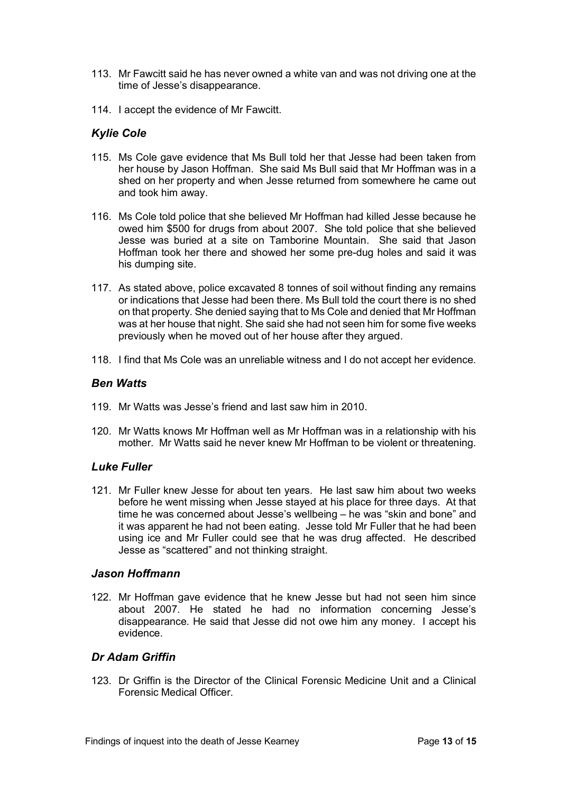- 113. Mr Fawcitt said he has never owned a white van and was not driving one at the time of Jesse's disappearance.
- 114. I accept the evidence of Mr Fawcitt.

#### *Kylie Cole*

- 115. Ms Cole gave evidence that Ms Bull told her that Jesse had been taken from her house by Jason Hoffman. She said Ms Bull said that Mr Hoffman was in a shed on her property and when Jesse returned from somewhere he came out and took him away.
- 116. Ms Cole told police that she believed Mr Hoffman had killed Jesse because he owed him \$500 for drugs from about 2007. She told police that she believed Jesse was buried at a site on Tamborine Mountain. She said that Jason Hoffman took her there and showed her some pre-dug holes and said it was his dumping site.
- 117. As stated above, police excavated 8 tonnes of soil without finding any remains or indications that Jesse had been there. Ms Bull told the court there is no shed on that property. She denied saying that to Ms Cole and denied that Mr Hoffman was at her house that night. She said she had not seen him for some five weeks previously when he moved out of her house after they argued.
- 118. I find that Ms Cole was an unreliable witness and I do not accept her evidence.

#### *Ben Watts*

- 119. Mr Watts was Jesse's friend and last saw him in 2010.
- 120. Mr Watts knows Mr Hoffman well as Mr Hoffman was in a relationship with his mother. Mr Watts said he never knew Mr Hoffman to be violent or threatening.

#### *Luke Fuller*

121. Mr Fuller knew Jesse for about ten years. He last saw him about two weeks before he went missing when Jesse stayed at his place for three days. At that time he was concerned about Jesse's wellbeing – he was "skin and bone" and it was apparent he had not been eating. Jesse told Mr Fuller that he had been using ice and Mr Fuller could see that he was drug affected. He described Jesse as "scattered" and not thinking straight.

#### *Jason Hoffmann*

122. Mr Hoffman gave evidence that he knew Jesse but had not seen him since about 2007. He stated he had no information concerning Jesse's disappearance. He said that Jesse did not owe him any money. I accept his evidence.

## *Dr Adam Griffin*

123. Dr Griffin is the Director of the Clinical Forensic Medicine Unit and a Clinical Forensic Medical Officer.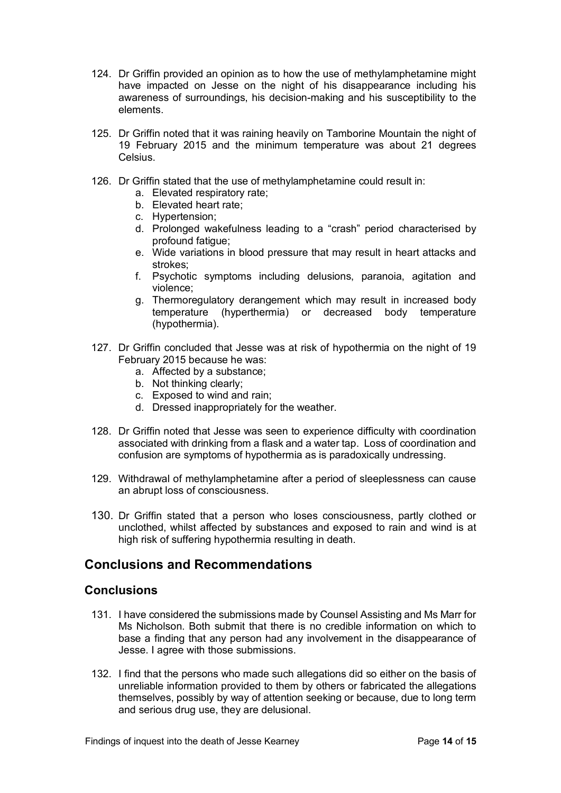- 124. Dr Griffin provided an opinion as to how the use of methylamphetamine might have impacted on Jesse on the night of his disappearance including his awareness of surroundings, his decision-making and his susceptibility to the elements.
- 125. Dr Griffin noted that it was raining heavily on Tamborine Mountain the night of 19 February 2015 and the minimum temperature was about 21 degrees Celsius.
- 126. Dr Griffin stated that the use of methylamphetamine could result in:
	- a. Elevated respiratory rate;
	- b. Elevated heart rate;
	- c. Hypertension;
	- d. Prolonged wakefulness leading to a "crash" period characterised by profound fatigue;
	- e. Wide variations in blood pressure that may result in heart attacks and strokes;
	- f. Psychotic symptoms including delusions, paranoia, agitation and violence;
	- g. Thermoregulatory derangement which may result in increased body temperature (hyperthermia) or decreased body temperature (hypothermia).
- 127. Dr Griffin concluded that Jesse was at risk of hypothermia on the night of 19 February 2015 because he was:
	- a. Affected by a substance;
	- b. Not thinking clearly;
	- c. Exposed to wind and rain;
	- d. Dressed inappropriately for the weather.
- 128. Dr Griffin noted that Jesse was seen to experience difficulty with coordination associated with drinking from a flask and a water tap. Loss of coordination and confusion are symptoms of hypothermia as is paradoxically undressing.
- 129. Withdrawal of methylamphetamine after a period of sleeplessness can cause an abrupt loss of consciousness.
- 130. Dr Griffin stated that a person who loses consciousness, partly clothed or unclothed, whilst affected by substances and exposed to rain and wind is at high risk of suffering hypothermia resulting in death.

## <span id="page-13-0"></span>**Conclusions and Recommendations**

#### <span id="page-13-1"></span>**Conclusions**

- 131. I have considered the submissions made by Counsel Assisting and Ms Marr for Ms Nicholson. Both submit that there is no credible information on which to base a finding that any person had any involvement in the disappearance of Jesse. I agree with those submissions.
- 132. I find that the persons who made such allegations did so either on the basis of unreliable information provided to them by others or fabricated the allegations themselves, possibly by way of attention seeking or because, due to long term and serious drug use, they are delusional.